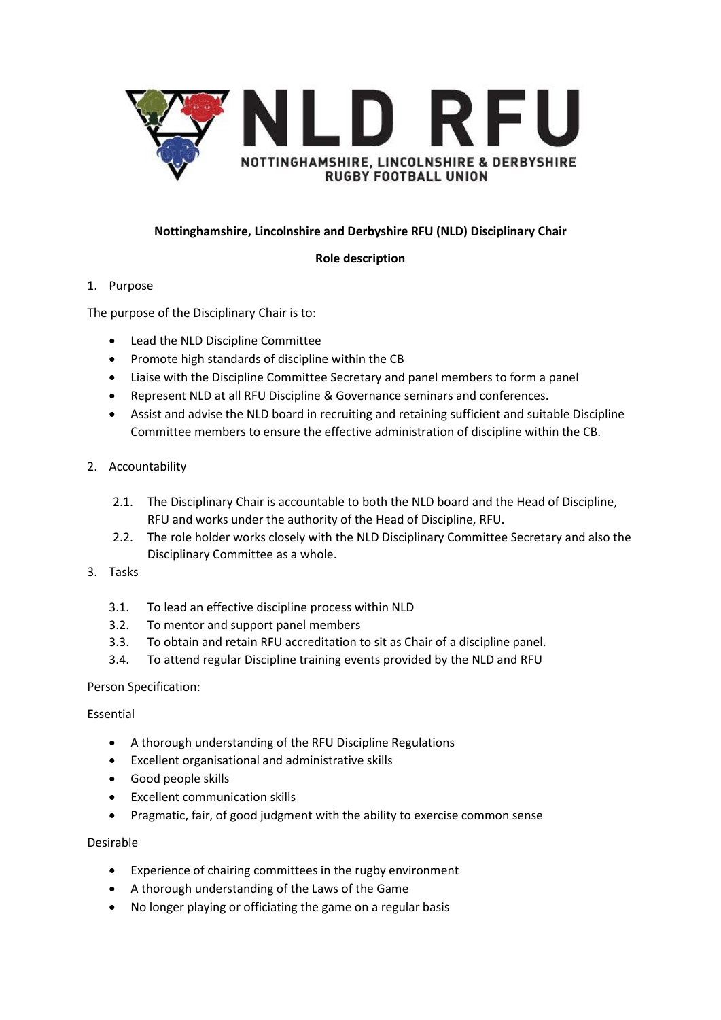

# **Nottinghamshire, Lincolnshire and Derbyshire RFU (NLD) Disciplinary Chair**

## **Role description**

# 1. Purpose

The purpose of the Disciplinary Chair is to:

- Lead the NLD Discipline Committee
- Promote high standards of discipline within the CB
- Liaise with the Discipline Committee Secretary and panel members to form a panel
- Represent NLD at all RFU Discipline & Governance seminars and conferences.
- Assist and advise the NLD board in recruiting and retaining sufficient and suitable Discipline Committee members to ensure the effective administration of discipline within the CB.

# 2. Accountability

- 2.1. The Disciplinary Chair is accountable to both the NLD board and the Head of Discipline, RFU and works under the authority of the Head of Discipline, RFU.
- 2.2. The role holder works closely with the NLD Disciplinary Committee Secretary and also the Disciplinary Committee as a whole.
- 3. Tasks
	- 3.1. To lead an effective discipline process within NLD
	- 3.2. To mentor and support panel members
	- 3.3. To obtain and retain RFU accreditation to sit as Chair of a discipline panel.
	- 3.4. To attend regular Discipline training events provided by the NLD and RFU

# Person Specification:

# Essential

- A thorough understanding of the RFU Discipline Regulations
- Excellent organisational and administrative skills
- Good people skills
- Excellent communication skills
- Pragmatic, fair, of good judgment with the ability to exercise common sense

# Desirable

- Experience of chairing committees in the rugby environment
- A thorough understanding of the Laws of the Game
- No longer playing or officiating the game on a regular basis